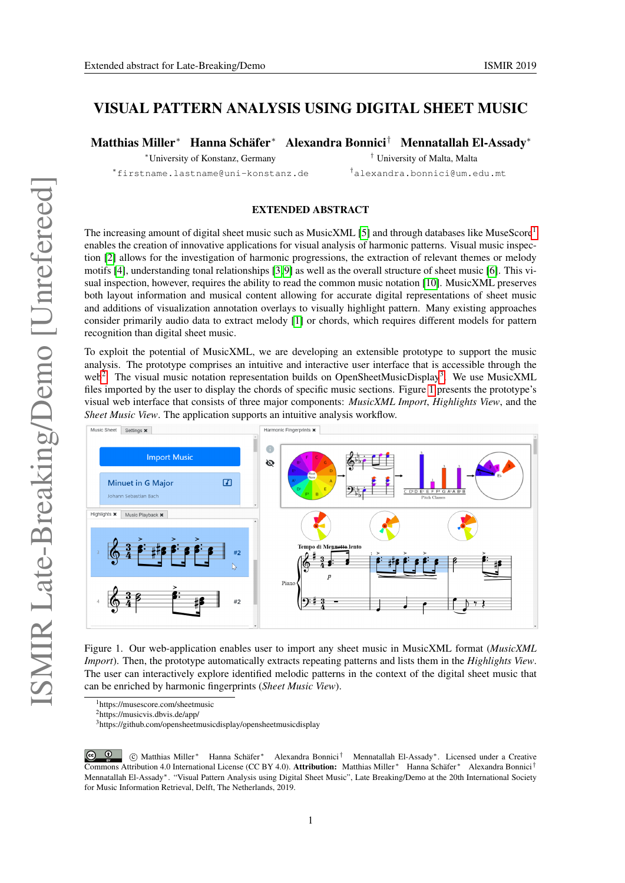## VISUAL PATTERN ANALYSIS USING DIGITAL SHEET MUSIC

Matthias Miller<sup>∗</sup> Hanna Schäfer<sup>∗</sup> Alexandra Bonnici† Mennatallah El-Assady<sup>∗</sup>

<sup>∗</sup>University of Konstanz, Germany † University of Malta, Malta

<sup>∗</sup>firstname.lastname@uni-konstanz.de †alexandra.bonnici@um.edu.mt

## EXTENDED ABSTRACT

The increasing amount of digital sheet music such as MusicXML [\[5\]](#page-1-0) and through databases like MuseScore<sup>[1](#page-0-0)</sup> enables the creation of innovative applications for visual analysis of harmonic patterns. Visual music inspection [\[2\]](#page-1-1) allows for the investigation of harmonic progressions, the extraction of relevant themes or melody motifs [\[4\]](#page-1-2), understanding tonal relationships [\[3,](#page-1-3) [9\]](#page-1-4) as well as the overall structure of sheet music [\[6\]](#page-1-5). This visual inspection, however, requires the ability to read the common music notation [\[10\]](#page-1-6). MusicXML preserves both layout information and musical content allowing for accurate digital representations of sheet music and additions of visualization annotation overlays to visually highlight pattern. Many existing approaches consider primarily audio data to extract melody [\[1\]](#page-1-7) or chords, which requires different models for pattern recognition than digital sheet music.

To exploit the potential of MusicXML, we are developing an extensible prototype to support the music analysis. The prototype comprises an intuitive and interactive user interface that is accessible through the web<sup>[2](#page-0-1)</sup>. The visual music notation representation builds on OpenSheetMusicDisplay<sup>[3](#page-0-2)</sup>. We use MusicXML files imported by the user to display the chords of specific music sections. Figure [1](#page-0-3) presents the prototype's visual web interface that consists of three major components: *MusicXML Import*, *Highlights View*, and the *Sheet Music View*. The application supports an intuitive analysis workflow.



<span id="page-0-3"></span>Figure 1. Our web-application enables user to import any sheet music in MusicXML format (*MusicXML Import*). Then, the prototype automatically extracts repeating patterns and lists them in the *Highlights View*. The user can interactively explore identified melodic patterns in the context of the digital sheet music that can be enriched by harmonic fingerprints (*Sheet Music View*).

<span id="page-0-0"></span><sup>1</sup>https://musescore.com/sheetmusic

<span id="page-0-1"></span><sup>2</sup>https://musicvis.dbvis.de/app/

<span id="page-0-2"></span><sup>3</sup>https://github.com/opensheetmusicdisplay/opensheetmusicdisplay

 $\circ$   $\circ$  c Matthias Miller<sup>∗</sup> Hanna Schäfer<sup>∗</sup> Alexandra Bonnici† Mennatallah El-Assady∗. Licensed under a Creative Commons Attribution 4.0 International License (CC BY 4.0). Attribution: Matthias Miller<sup>∗</sup> Hanna Schäfer<sup>∗</sup> Alexandra Bonnici† Mennatallah El-Assady∗. "Visual Pattern Analysis using Digital Sheet Music", Late Breaking/Demo at the 20th International Society for Music Information Retrieval, Delft, The Netherlands, 2019.